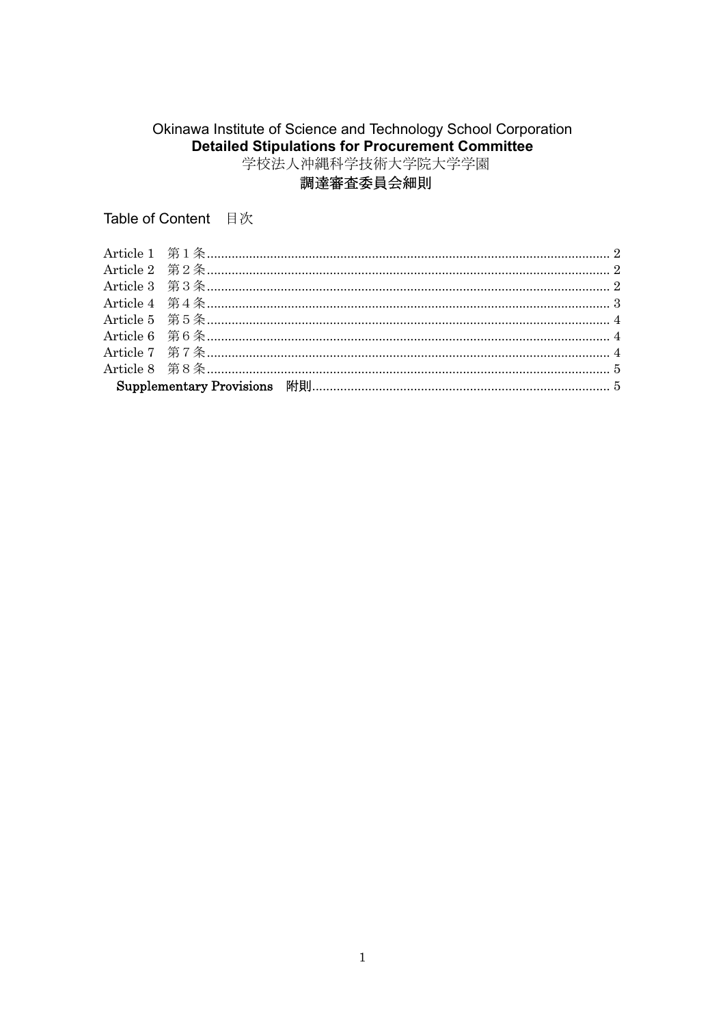# Okinawa Institute of Science and Technology School Corporation Detailed Stipulations for Procurement Committee

## 調達審査委員会細則

Table of Content 目次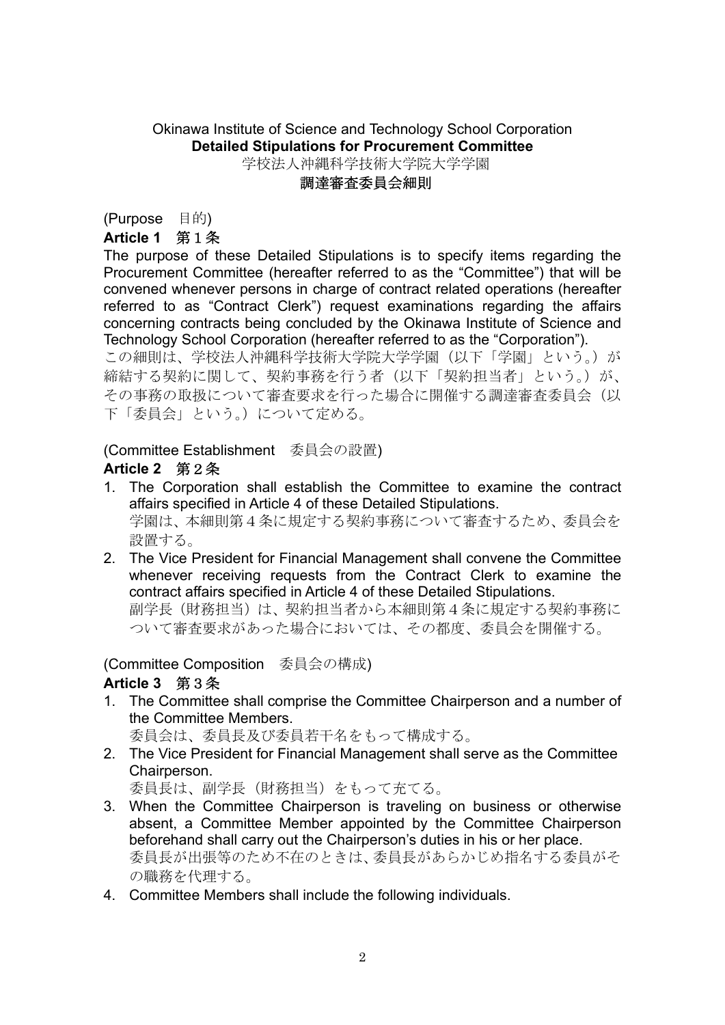## Okinawa Institute of Science and Technology School Corporation **Detailed Stipulations for Procurement Committee** 学校法人沖縄科学技術大学院大学学園

#### 調達審査委員会細則

(Purpose 目的)

## **Article 1** 第1条

The purpose of these Detailed Stipulations is to specify items regarding the Procurement Committee (hereafter referred to as the "Committee") that will be convened whenever persons in charge of contract related operations (hereafter referred to as "Contract Clerk") request examinations regarding the affairs concerning contracts being concluded by the Okinawa Institute of Science and Technology School Corporation (hereafter referred to as the "Corporation").

この細則は、学校法人沖縄科学技術大学院大学学園(以下「学園」という。)が 締結する契約に関して、契約事務を行う者(以下「契約担当者」という。)が、 その事務の取扱について審査要求を行った場合に開催する調達審査委員会(以 下「委員会」という。)について定める。

## (Committee Establishment 委員会の設置)

## **Article 2** 第2条

- 1. The Corporation shall establish the Committee to examine the contract affairs specified in Article 4 of these Detailed Stipulations. 学園は、本細則第4条に規定する契約事務について審査するため、委員会を 設置する。
- 2. The Vice President for Financial Management shall convene the Committee whenever receiving requests from the Contract Clerk to examine the contract affairs specified in Article 4 of these Detailed Stipulations. 副学長(財務担当)は、契約担当者から本細則第4条に規定する契約事務に ついて審査要求があった場合においては、その都度、委員会を開催する。

## (Committee Composition 委員会の構成)

## **Article 3** 第3条

1. The Committee shall comprise the Committee Chairperson and a number of the Committee Members.

委員会は、委員長及び委員若干名をもって構成する。

2. The Vice President for Financial Management shall serve as the Committee Chairperson.

委員長は、副学長(財務担当)をもって充てる。

- 3. When the Committee Chairperson is traveling on business or otherwise absent, a Committee Member appointed by the Committee Chairperson beforehand shall carry out the Chairperson's duties in his or her place. 委員長が出張等のため不在のときは、委員長があらかじめ指名する委員がそ の職務を代理する。
- 4. Committee Members shall include the following individuals.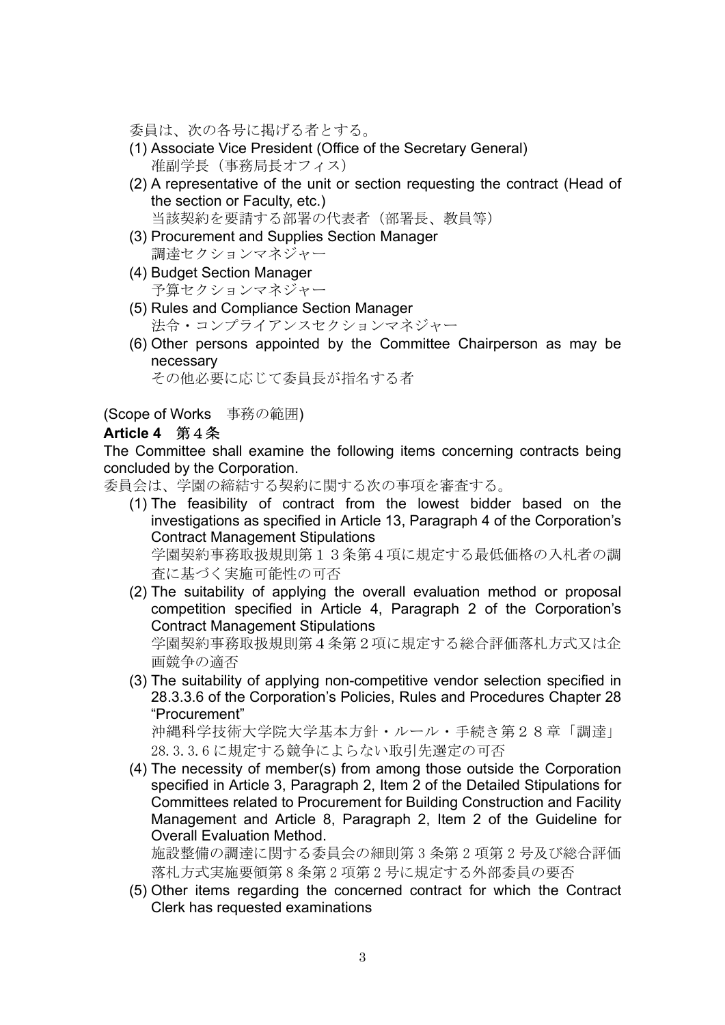委員は、次の各号に掲げる者とする。

- (1) Associate Vice President (Office of the Secretary General) 准副学長(事務局長オフィス)
- (2) A representative of the unit or section requesting the contract (Head of the section or Faculty, etc.) 当該契約を要請する部署の代表者(部署長、教員等)
- (3) Procurement and Supplies Section Manager 調達セクションマネジャー
- (4) Budget Section Manager 予算セクションマネジャー
- (5) Rules and Compliance Section Manager 法令・コンプライアンスセクションマネジャー
- (6) Other persons appointed by the Committee Chairperson as may be necessary

その他必要に応じて委員長が指名する者

(Scope of Works 事務の範囲)

## **Article 4** 第4条

The Committee shall examine the following items concerning contracts being concluded by the Corporation.

委員会は、学園の締結する契約に関する次の事項を審査する。

- (1) The feasibility of contract from the lowest bidder based on the investigations as specified in Article 13, Paragraph 4 of the Corporation's Contract Management Stipulations 学園契約事務取扱規則第13条第4項に規定する最低価格の入札者の調 査に基づく実施可能性の可否
- (2) The suitability of applying the overall evaluation method or proposal competition specified in Article 4, Paragraph 2 of the Corporation's Contract Management Stipulations 学園契約事務取扱規則第4条第2項に規定する総合評価落札方式又は企 画競争の適否
- (3) The suitability of applying non-competitive vendor selection specified in 28.3.3.6 of the Corporation's Policies, Rules and Procedures Chapter 28 "Procurement"

沖縄科学技術大学院大学基本方針・ルール・手続き第28章「調達」 28.3.3.6 に規定する競争によらない取引先選定の可否

(4) The necessity of member(s) from among those outside the Corporation specified in Article 3, Paragraph 2, Item 2 of the Detailed Stipulations for Committees related to Procurement for Building Construction and Facility Management and Article 8, Paragraph 2, Item 2 of the Guideline for Overall Evaluation Method.

施設整備の調達に関する委員会の細則第 3 条第 2 項第 2 号及び総合評価 落札方式実施要領第 8 条第 2 項第 2 号に規定する外部委員の要否

(5) Other items regarding the concerned contract for which the Contract Clerk has requested examinations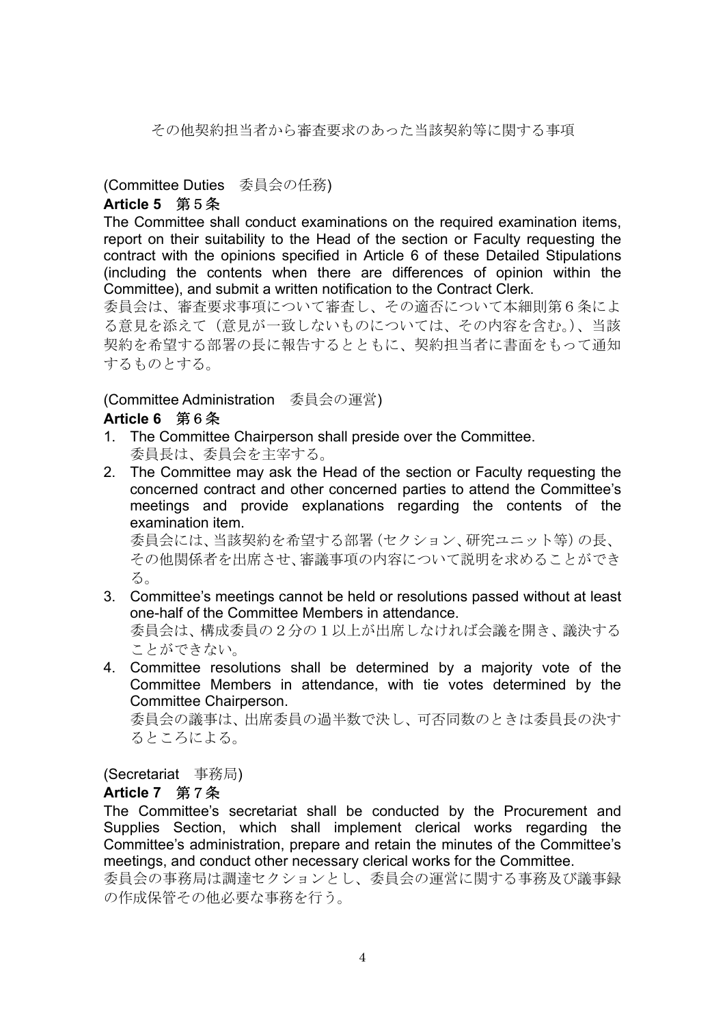その他契約担当者から審査要求のあった当該契約等に関する事項

## (Committee Duties 委員会の任務)

# **Article 5** 第5条

The Committee shall conduct examinations on the required examination items, report on their suitability to the Head of the section or Faculty requesting the contract with the opinions specified in Article 6 of these Detailed Stipulations (including the contents when there are differences of opinion within the Committee), and submit a written notification to the Contract Clerk.

委員会は、審査要求事項について審査し、その適否について本細則第6条によ る意見を添えて(意見が一致しないものについては、その内容を含む。)、当該 契約を希望する部署の長に報告するとともに、契約担当者に書面をもって通知 するものとする。

## (Committee Administration 委員会の運営)

## **Article 6** 第6条

- 1. The Committee Chairperson shall preside over the Committee. 委員長は、委員会を主宰する。
- 2. The Committee may ask the Head of the section or Faculty requesting the concerned contract and other concerned parties to attend the Committee's meetings and provide explanations regarding the contents of the examination item.

委員会には、当該契約を希望する部署(セクション、研究ユニット等)の長、 その他関係者を出席させ、審議事項の内容について説明を求めることができ る。

- 3. Committee's meetings cannot be held or resolutions passed without at least one-half of the Committee Members in attendance. 委員会は、構成委員の2分の1以上が出席しなければ会議を開き、議決する ことができない。
- 4. Committee resolutions shall be determined by a majority vote of the Committee Members in attendance, with tie votes determined by the Committee Chairperson.

委員会の議事は、出席委員の過半数で決し、可否同数のときは委員長の決す るところによる。

(Secretariat 事務局)

## **Article 7** 第7条

The Committee's secretariat shall be conducted by the Procurement and Supplies Section, which shall implement clerical works regarding the Committee's administration, prepare and retain the minutes of the Committee's meetings, and conduct other necessary clerical works for the Committee.

委員会の事務局は調達セクションとし、委員会の運営に関する事務及び議事録 の作成保管その他必要な事務を行う。